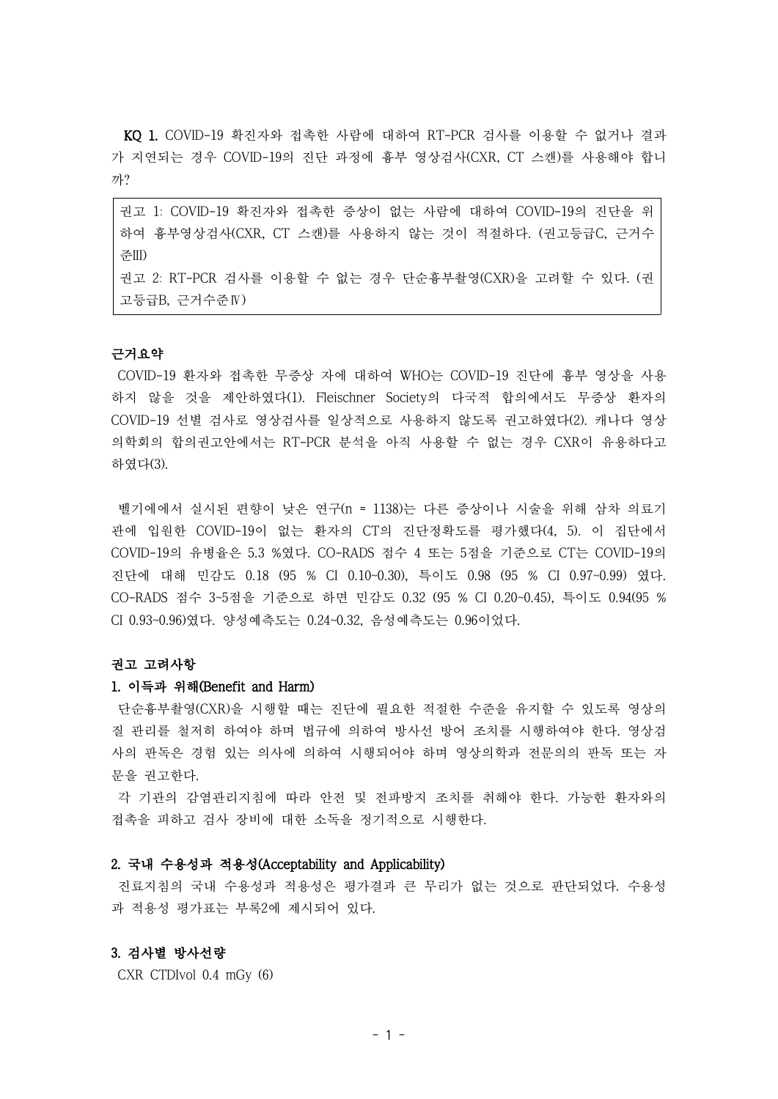KQ 1. COVID-19 확진자와 접촉한 사람에 대하여 RT-PCR 검사를 이용할 수 없거나 결과 가 지연되는 경우 COVID-19의 진단 과정에 흉부 영상검사(CXR, CT 스캔)를 사용해야 합니 까?

권고 1: COVID-19 확진자와 접촉한 증상이 없는 사람에 대하여 COVID-19의 진단을 위 하여 흉부영상검사(CXR, CT 스캔)를 사용하지 않는 것이 적절하다. (권고등급C, 근거수 준III) 권고 2: RT-PCR 검사를 이용할 수 없는 경우 단순흉부촬영(CXR)을 고려할 수 있다. (권 고등급B, 근거수준Ⅳ)

#### 근거요약

COVID-19 환자와 접촉한 무증상 자에 대하여 WHO는 COVID-19 진단에 흉부 영상을 사용 하지 않을 것을 제안하였다(1). Fleischner Society의 다국적 합의에서도 무증상 환자의 COVID-19 선별 검사로 영상검사를 일상적으로 사용하지 않도록 권고하였다(2). 캐나다 영상 의학회의 합의권고안에서는 RT-PCR 분석을 아직 사용할 수 없는 경우 CXR이 유용하다고 하였다(3).

벨기에에서 실시된 편향이 낮은 연구(n = 1138)는 다른 증상이나 시술을 위해 삼차 의료기 관에 입원한 COVID-19이 없는 환자의 CT의 진단정확도를 평가했다(4, 5). 이 집단에서 COVID-19의 유병율은 5.3 %였다. CO-RADS 점수 4 또는 5점을 기준으로 CT는 COVID-19의 진단에 대해 민감도 0.18 (95 % CI 0.10~0.30), 특이도 0.98 (95 % CI 0.97~0.99) 였다. CO-RADS 점수 3~5점을 기준으로 하면 민감도 0.32 (95 % CI 0.20~0.45), 특이도 0.94(95 % CI 0.93~0.96)였다. 양성예측도는 0.24~0.32, 음성예측도는 0.96이었다.

## 권고 고려사항

#### 1. 이득과 위해(Benefit and Harm)

단순흉부촬영(CXR)을 시행할 때는 진단에 필요한 적절한 수준을 유지할 수 있도록 영상의 질 관리를 철저히 하여야 하며 법규에 의하여 방사선 방어 조치를 시행하여야 한다. 영상검 사의 판독은 경험 있는 의사에 의하여 시행되어야 하며 영상의학과 전문의의 판독 또는 자 문을 권고한다.

각 기관의 감염관리지침에 따라 안전 및 전파방지 조치를 취해야 한다. 가능한 환자와의 접촉을 피하고 검사 장비에 대한 소독을 정기적으로 시행한다.

#### 2. 국내 수용성과 적용성(Acceptability and Applicability)

진료지침의 국내 수용성과 적용성은 평가결과 큰 무리가 없는 것으로 판단되었다. 수용성 과 적용성 평가표는 부록2에 제시되어 있다.

### 3. 검사별 방사선량

CXR CTDIvol 0.4 mGy (6)